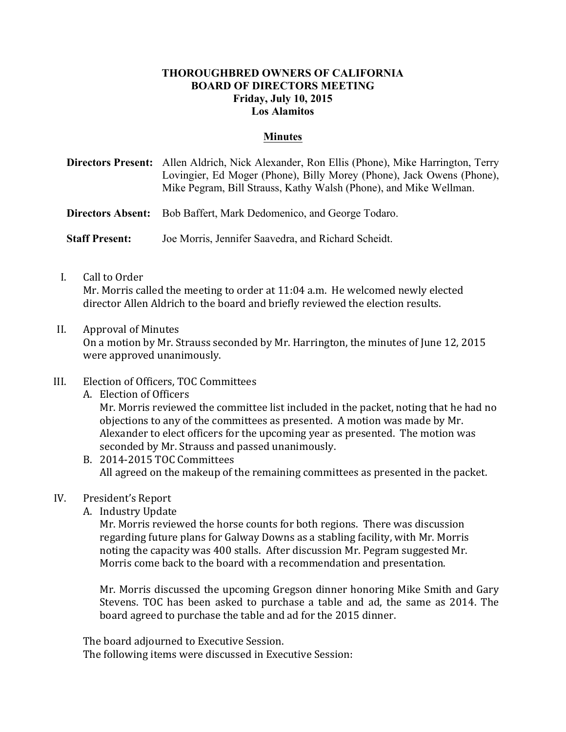### **THOROUGHBRED OWNERS OF CALIFORNIA BOARD OF DIRECTORS MEETING Friday, July 10, 2015 Los Alamitos**

#### **Minutes**

**Directors Present:** Allen Aldrich, Nick Alexander, Ron Ellis (Phone), Mike Harrington, Terry Lovingier, Ed Moger (Phone), Billy Morey (Phone), Jack Owens (Phone), Mike Pegram, Bill Strauss, Kathy Walsh (Phone), and Mike Wellman.

**Directors Absent:** Bob Baffert, Mark Dedomenico, and George Todaro.

**Staff Present:** Joe Morris, Jennifer Saavedra, and Richard Scheidt.

I. Call to Order

Mr. Morris called the meeting to order at  $11:04$  a.m. He welcomed newly elected director Allen Aldrich to the board and briefly reviewed the election results.

II. Approval of Minutes

On a motion by Mr. Strauss seconded by Mr. Harrington, the minutes of June 12, 2015 were approved unanimously.

- III. Election of Officers, TOC Committees
	- A. Election of Officers

Mr. Morris reviewed the committee list included in the packet, noting that he had no objections to any of the committees as presented. A motion was made by Mr. Alexander to elect officers for the upcoming year as presented. The motion was seconded by Mr. Strauss and passed unanimously.

B. 2014-2015 TOC Committees All agreed on the makeup of the remaining committees as presented in the packet.

#### IV. President's Report

A. Industry Update

Mr. Morris reviewed the horse counts for both regions. There was discussion regarding future plans for Galway Downs as a stabling facility, with Mr. Morris noting the capacity was 400 stalls. After discussion Mr. Pegram suggested Mr. Morris come back to the board with a recommendation and presentation.

Mr. Morris discussed the upcoming Gregson dinner honoring Mike Smith and Gary Stevens. TOC has been asked to purchase a table and ad, the same as 2014. The board agreed to purchase the table and ad for the 2015 dinner.

The board adjourned to Executive Session.

The following items were discussed in Executive Session: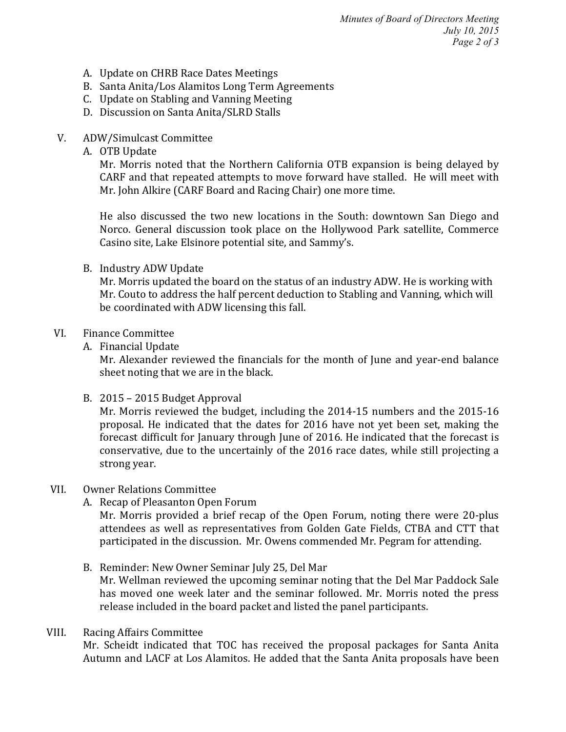*Minutes of Board of Directors Meeting July 10, 2015 Page 2 of 3*

- A. Update on CHRB Race Dates Meetings
- B. Santa Anita/Los Alamitos Long Term Agreements
- C. Update on Stabling and Vanning Meeting
- D. Discussion on Santa Anita/SLRD Stalls
- V. ADW/Simulcast Committee
	- A. OTB Update

Mr. Morris noted that the Northern California OTB expansion is being delayed by CARF and that repeated attempts to move forward have stalled. He will meet with Mr. John Alkire (CARF Board and Racing Chair) one more time.

He also discussed the two new locations in the South: downtown San Diego and Norco. General discussion took place on the Hollywood Park satellite, Commerce Casino site, Lake Elsinore potential site, and Sammy's.

B. Industry ADW Update

Mr. Morris updated the board on the status of an industry ADW. He is working with Mr. Couto to address the half percent deduction to Stabling and Vanning, which will be coordinated with ADW licensing this fall.

### VI. Finance Committee

A. Financial Update

Mr. Alexander reviewed the financials for the month of June and year-end balance sheet noting that we are in the black.

B.  $2015 - 2015$  Budget Approval

Mr. Morris reviewed the budget, including the 2014-15 numbers and the 2015-16 proposal. He indicated that the dates for 2016 have not yet been set, making the forecast difficult for January through June of 2016. He indicated that the forecast is conservative, due to the uncertainly of the 2016 race dates, while still projecting a strong year.

#### VII. Owner Relations Committee

A. Recap of Pleasanton Open Forum

Mr. Morris provided a brief recap of the Open Forum, noting there were 20-plus attendees as well as representatives from Golden Gate Fields, CTBA and CTT that participated in the discussion. Mr. Owens commended Mr. Pegram for attending.

B. Reminder: New Owner Seminar July 25, Del Mar Mr. Wellman reviewed the upcoming seminar noting that the Del Mar Paddock Sale has moved one week later and the seminar followed. Mr. Morris noted the press release included in the board packet and listed the panel participants.

#### VIII. Racing Affairs Committee

Mr. Scheidt indicated that TOC has received the proposal packages for Santa Anita Autumn and LACF at Los Alamitos. He added that the Santa Anita proposals have been